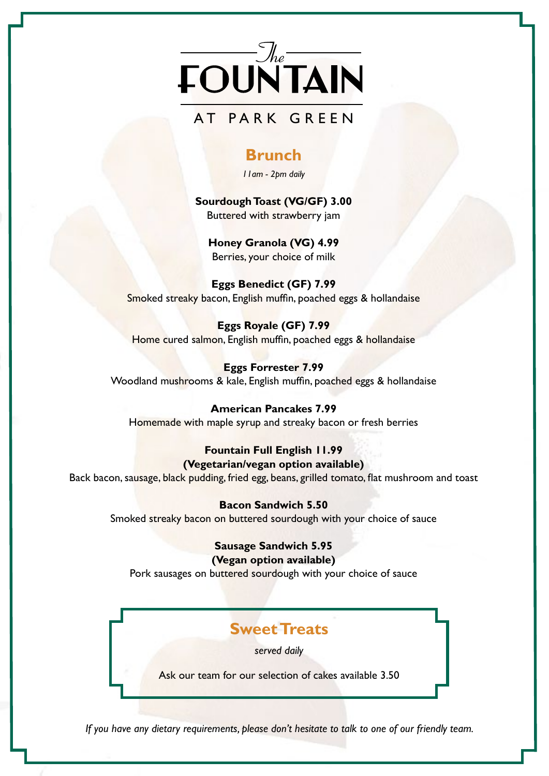

# AT PARK GREEN

### **Brunch**

*11am - 2pm daily*

**Sourdough Toast (VG/GF) 3.00** Buttered with strawberry jam

**Honey Granola (VG) 4.99** Berries, your choice of milk

**Eggs Benedict (GF) 7.99** Smoked streaky bacon, English muffin, poached eggs & hollandaise

**Eggs Royale (GF) 7.99** Home cured salmon, English muffin, poached eggs & hollandaise

**Eggs Forrester 7.99** Woodland mushrooms & kale, English muffin, poached eggs & hollandaise

**American Pancakes 7.99** Homemade with maple syrup and streaky bacon or fresh berries

### **Fountain Full English 11.99 (Vegetarian/vegan option available)**

Back bacon, sausage, black pudding, fried egg, beans, grilled tomato, flat mushroom and toast

#### **Bacon Sandwich 5.50**

Smoked streaky bacon on buttered sourdough with your choice of sauce

#### **Sausage Sandwich 5.95 (Vegan option available)**

Pork sausages on buttered sourdough with your choice of sauce

# **Sweet Treats**

*served daily*

Ask our team for our selection of cakes available 3.50

*If you have any dietary requirements, please don't hesitate to talk to one of our friendly team.*